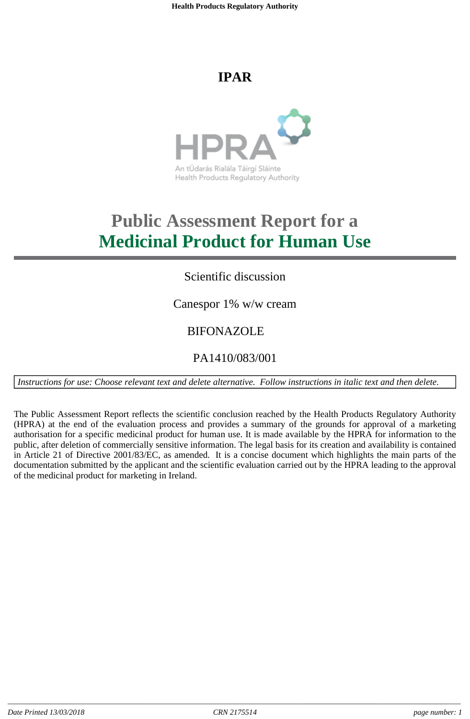# **IPAR**



# **Public Assessment Report for a Medicinal Product for Human Use**

## Scientific discussion

Canespor 1% w/w cream

# BIFONAZOLE

PA1410/083/001

Instructions for use: Choose relevant text and delete alternative. Follow instructions in italic text and then delete.

The Public Assessment Report reflects the scientific conclusion reached by the Health Products Regulatory Authority (HPRA) at the end of the evaluation process and provides a summary of the grounds for approval of a marketing authorisation for a specific medicinal product for human use. It is made available by the HPRA for information to the public, after deletion of commercially sensitive information. The legal basis for its creation and availability is contained in Article 21 of Directive 2001/83/EC, as amended. It is a concise document which highlights the main parts of the documentation submitted by the applicant and the scientific evaluation carried out by the HPRA leading to the approval of the medicinal product for marketing in Ireland.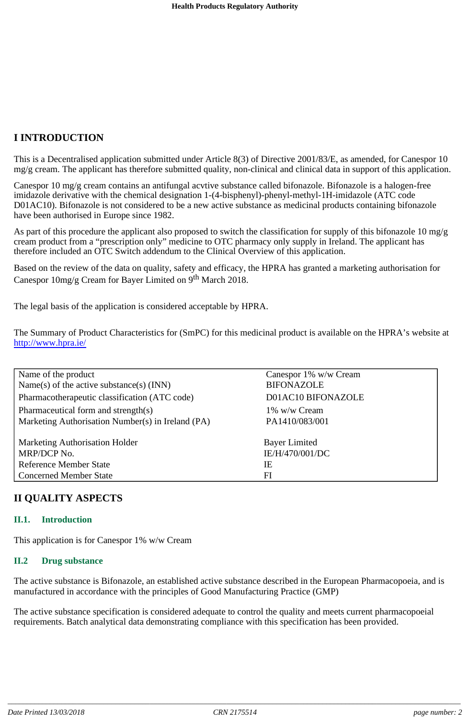## **I INTRODUCTION**

This is a Decentralised application submitted under Article 8(3) of Directive 2001/83/E, as amended, for Canespor 10 mg/g cream. The applicant has therefore submitted quality, non-clinical and clinical data in support of this application.

Canespor 10 mg/g cream contains an antifungal acvtive substance called bifonazole. Bifonazole is a halogen-free imidazole derivative with the chemical designation 1-(4-bisphenyl)-phenyl-methyl-1H-imidazole (ATC code D01AC10). Bifonazole is not considered to be a new active substance as medicinal products containing bifonazole have been authorised in Europe since 1982.

As part of this procedure the applicant also proposed to switch the classification for supply of this bifonazole 10 mg/g cream product from a "prescription only" medicine to OTC pharmacy only supply in Ireland. The applicant has therefore included an OTC Switch addendum to the Clinical Overview of this application.

Based on the review of the data on quality, safety and efficacy, the HPRA has granted a marketing authorisation for Canespor 10mg/g Cream for Bayer Limited on 9<sup>th</sup> March 2018.

The legal basis of the application is considered acceptable by HPRA.

The Summary of Product Characteristics for (SmPC) for this medicinal product is available on the HPRA's website at http://www.hpra.ie/

| Name of the product                               | Canespor 1% w/w Cream |
|---------------------------------------------------|-----------------------|
| Name(s) of the active substance(s) $(INN)$        | <b>BIFONAZOLE</b>     |
| Pharmacotherapeutic classification (ATC code)     | D01AC10 BIFONAZOLE    |
| Pharmaceutical form and strength(s)               | 1% w/w Cream          |
| Marketing Authorisation Number(s) in Ireland (PA) | PA1410/083/001        |
| <b>Marketing Authorisation Holder</b>             | <b>Bayer Limited</b>  |
|                                                   |                       |
| MRP/DCP No.                                       | IE/H/470/001/DC       |
| <b>Reference Member State</b>                     | IE                    |
| <b>Concerned Member State</b>                     | FI                    |
|                                                   |                       |

## **II QUALITY ASPECTS**

## **II.1. Introduction**

This application is for Canespor 1% w/w Cream

## **II.2 Drug substance**

The active substance is Bifonazole, an established active substance described in the European Pharmacopoeia, and is manufactured in accordance with the principles of Good Manufacturing Practice (GMP)

The active substance specification is considered adequate to control the quality and meets current pharmacopoeial requirements. Batch analytical data demonstrating compliance with this specification has been provided.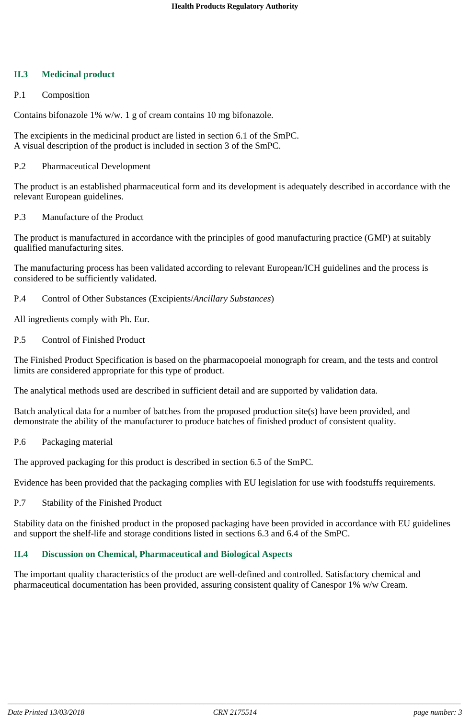## **II.3 Medicinal product**

## P.1 Composition

Contains bifonazole 1% w/w. 1 g of cream contains 10 mg bifonazole.

The excipients in the medicinal product are listed in section 6.1 of the SmPC. A visual description of the product is included in section 3 of the SmPC.

## P.2 Pharmaceutical Development

The product is an established pharmaceutical form and its development is adequately described in accordance with the relevant European guidelines.

## P.3 Manufacture of the Product

The product is manufactured in accordance with the principles of good manufacturing practice (GMP) at suitably qualified manufacturing sites.

The manufacturing process has been validated according to relevant European/ICH guidelines and the process is considered to be sufficiently validated.

P.4 Control of Other Substances (Excipients/*Ancillary Substances*)

All ingredients comply with Ph. Eur.

P.5 Control of Finished Product

The Finished Product Specification is based on the pharmacopoeial monograph for cream, and the tests and control limits are considered appropriate for this type of product.

The analytical methods used are described in sufficient detail and are supported by validation data.

Batch analytical data for a number of batches from the proposed production site(s) have been provided, and demonstrate the ability of the manufacturer to produce batches of finished product of consistent quality.

## P.6 Packaging material

The approved packaging for this product is described in section 6.5 of the SmPC.

Evidence has been provided that the packaging complies with EU legislation for use with foodstuffs requirements.

P.7 Stability of the Finished Product

Stability data on the finished product in the proposed packaging have been provided in accordance with EU guidelines and support the shelf-life and storage conditions listed in sections 6.3 and 6.4 of the SmPC.

## **II.4 Discussion on Chemical, Pharmaceutical and Biological Aspects**

The important quality characteristics of the product are well-defined and controlled. Satisfactory chemical and pharmaceutical documentation has been provided, assuring consistent quality of Canespor 1% w/w Cream.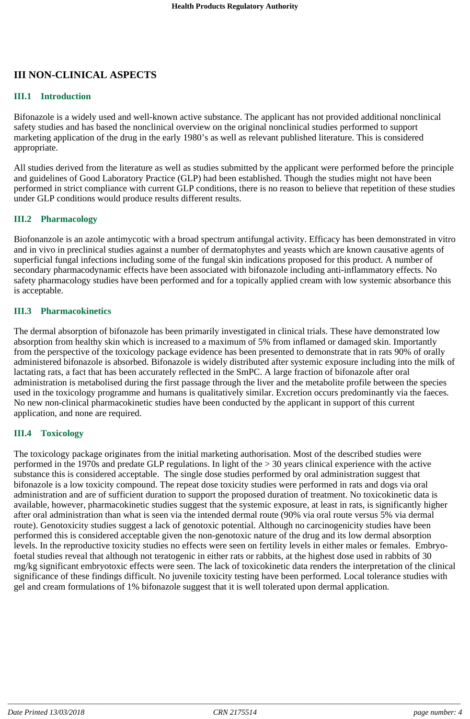## **III NON-CLINICAL ASPECTS**

## **III.1 Introduction**

Bifonazole is a widely used and well-known active substance. The applicant has not provided additional nonclinical safety studies and has based the nonclinical overview on the original nonclinical studies performed to support marketing application of the drug in the early 1980's as well as relevant published literature. This is considered appropriate.

All studies derived from the literature as well as studies submitted by the applicant were performed before the principle and guidelines of Good Laboratory Practice (GLP) had been established. Though the studies might not have been performed in strict compliance with current GLP conditions, there is no reason to believe that repetition of these studies under GLP conditions would produce results different results.

## **III.2 Pharmacology**

Biofonanzole is an azole antimycotic with a broad spectrum antifungal activity. Efficacy has been demonstrated in vitro and in vivo in preclinical studies against a number of dermatophytes and yeasts which are known causative agents of superficial fungal infections including some of the fungal skin indications proposed for this product. A number of secondary pharmacodynamic effects have been associated with bifonazole including anti-inflammatory effects. No safety pharmacology studies have been performed and for a topically applied cream with low systemic absorbance this is acceptable.

#### **III.3 Pharmacokinetics**

The dermal absorption of bifonazole has been primarily investigated in clinical trials. These have demonstrated low absorption from healthy skin which is increased to a maximum of 5% from inflamed or damaged skin. Importantly from the perspective of the toxicology package evidence has been presented to demonstrate that in rats 90% of orally administered bifonazole is absorbed. Bifonazole is widely distributed after systemic exposure including into the milk of lactating rats, a fact that has been accurately reflected in the SmPC. A large fraction of bifonazole after oral administration is metabolised during the first passage through the liver and the metabolite profile between the species used in the toxicology programme and humans is qualitatively similar. Excretion occurs predominantly via the faeces. No new non-clinical pharmacokinetic studies have been conducted by the applicant in support of this current application, and none are required.

## **III.4 Toxicology**

The toxicology package originates from the initial marketing authorisation. Most of the described studies were performed in the 1970s and predate GLP regulations. In light of the > 30 years clinical experience with the active substance this is considered acceptable. The single dose studies performed by oral administration suggest that bifonazole is a low toxicity compound. The repeat dose toxicity studies were performed in rats and dogs via oral administration and are of sufficient duration to support the proposed duration of treatment. No toxicokinetic data is available, however, pharmacokinetic studies suggest that the systemic exposure, at least in rats, is significantly higher after oral administration than what is seen via the intended dermal route (90% via oral route versus 5% via dermal route). Genotoxicity studies suggest a lack of genotoxic potential. Although no carcinogenicity studies have been performed this is considered acceptable given the non-genotoxic nature of the drug and its low dermal absorption levels. In the reproductive toxicity studies no effects were seen on fertility levels in either males or females. Embryofoetal studies reveal that although not teratogenic in either rats or rabbits, at the highest dose used in rabbits of 30 mg/kg significant embryotoxic effects were seen. The lack of toxicokinetic data renders the interpretation of the clinical significance of these findings difficult. No juvenile toxicity testing have been performed. Local tolerance studies with gel and cream formulations of 1% bifonazole suggest that it is well tolerated upon dermal application.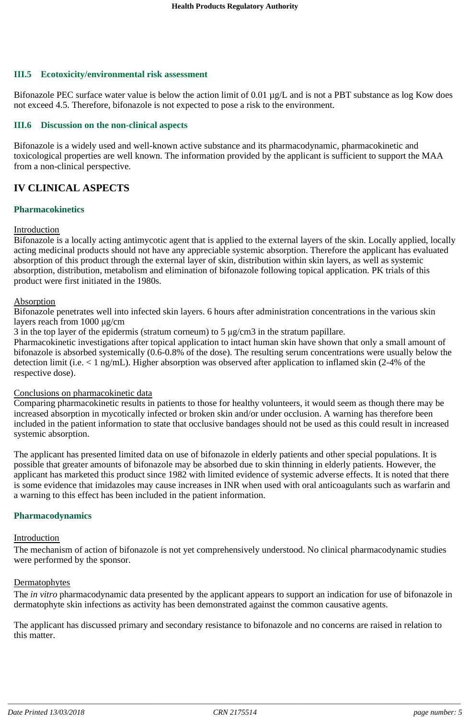## **III.5 Ecotoxicity/environmental risk assessment**

Bifonazole PEC surface water value is below the action limit of 0.01  $\mu$ g/L and is not a PBT substance as log Kow does not exceed 4.5. Therefore, bifonazole is not expected to pose a risk to the environment.

## **III.6 Discussion on the non-clinical aspects**

Bifonazole is a widely used and well-known active substance and its pharmacodynamic, pharmacokinetic and toxicological properties are well known. The information provided by the applicant is sufficient to support the MAA from a non-clinical perspective.

## **IV CLINICAL ASPECTS**

#### **Pharmacokinetics**

#### Introduction

Bifonazole is a locally acting antimycotic agent that is applied to the external layers of the skin. Locally applied, locally acting medicinal products should not have any appreciable systemic absorption. Therefore the applicant has evaluated absorption of this product through the external layer of skin, distribution within skin layers, as well as systemic absorption, distribution, metabolism and elimination of bifonazole following topical application. PK trials of this product were first initiated in the 1980s.

#### Absorption

Bifonazole penetrates well into infected skin layers. 6 hours after administration concentrations in the various skin layers reach from 1000 µg/cm

3 in the top layer of the epidermis (stratum corneum) to 5 µg/cm3 in the stratum papillare.

Pharmacokinetic investigations after topical application to intact human skin have shown that only a small amount of bifonazole is absorbed systemically (0.6-0.8% of the dose). The resulting serum concentrations were usually below the detection limit (i.e. < 1 ng/mL). Higher absorption was observed after application to inflamed skin (2-4% of the respective dose).

#### Conclusions on pharmacokinetic data

Comparing pharmacokinetic results in patients to those for healthy volunteers, it would seem as though there may be increased absorption in mycotically infected or broken skin and/or under occlusion. A warning has therefore been included in the patient information to state that occlusive bandages should not be used as this could result in increased systemic absorption.

The applicant has presented limited data on use of bifonazole in elderly patients and other special populations. It is possible that greater amounts of bifonazole may be absorbed due to skin thinning in elderly patients. However, the applicant has marketed this product since 1982 with limited evidence of systemic adverse effects. It is noted that there is some evidence that imidazoles may cause increases in INR when used with oral anticoagulants such as warfarin and a warning to this effect has been included in the patient information.

## **Pharmacodynamics**

#### **Introduction**

The mechanism of action of bifonazole is not yet comprehensively understood. No clinical pharmacodynamic studies were performed by the sponsor.

#### Dermatophytes

The *in vitro* pharmacodynamic data presented by the applicant appears to support an indication for use of bifonazole in dermatophyte skin infections as activity has been demonstrated against the common causative agents.

The applicant has discussed primary and secondary resistance to bifonazole and no concerns are raised in relation to this matter.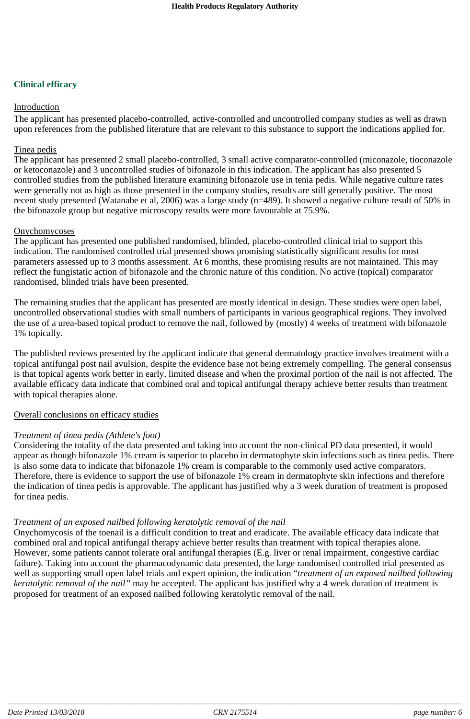## **Clinical efficacy**

## Introduction

The applicant has presented placebo-controlled, active-controlled and uncontrolled company studies as well as drawn upon references from the published literature that are relevant to this substance to support the indications applied for.

## Tinea pedis

The applicant has presented 2 small placebo-controlled, 3 small active comparator-controlled (miconazole, tioconazole or ketoconazole) and 3 uncontrolled studies of bifonazole in this indication. The applicant has also presented 5 controlled studies from the published literature examining bifonazole use in tenia pedis. While negative culture rates were generally not as high as those presented in the company studies, results are still generally positive. The most recent study presented (Watanabe et al, 2006) was a large study (n=489). It showed a negative culture result of 50% in the bifonazole group but negative microscopy results were more favourable at 75.9%.

#### **Onychomycoses**

The applicant has presented one published randomised, blinded, placebo-controlled clinical trial to support this indication. The randomised controlled trial presented shows promising statistically significant results for most parameters assessed up to 3 months assessment. At 6 months, these promising results are not maintained. This may reflect the fungistatic action of bifonazole and the chronic nature of this condition. No active (topical) comparator randomised, blinded trials have been presented.

The remaining studies that the applicant has presented are mostly identical in design. These studies were open label, uncontrolled observational studies with small numbers of participants in various geographical regions. They involved the use of a urea-based topical product to remove the nail, followed by (mostly) 4 weeks of treatment with bifonazole 1% topically.

The published reviews presented by the applicant indicate that general dermatology practice involves treatment with a topical antifungal post nail avulsion, despite the evidence base not being extremely compelling. The general consensus is that topical agents work better in early, limited disease and when the proximal portion of the nail is not affected. The available efficacy data indicate that combined oral and topical antifungal therapy achieve better results than treatment with topical therapies alone.

## Overall conclusions on efficacy studies

## *Treatment of tinea pedis (Athlete's foot)*

Considering the totality of the data presented and taking into account the non-clinical PD data presented, it would appear as though bifonazole 1% cream is superior to placebo in dermatophyte skin infections such as tinea pedis. There is also some data to indicate that bifonazole 1% cream is comparable to the commonly used active comparators. Therefore, there is evidence to support the use of bifonazole 1% cream in dermatophyte skin infections and therefore the indication of tinea pedis is approvable. The applicant has justified why a 3 week duration of treatment is proposed for tinea pedis.

## *Treatment of an exposed nailbed following keratolytic removal of the nail*

Onychomycosis of the toenail is a difficult condition to treat and eradicate. The available efficacy data indicate that combined oral and topical antifungal therapy achieve better results than treatment with topical therapies alone. However, some patients cannot tolerate oral antifungal therapies (E.g. liver or renal impairment, congestive cardiac failure). Taking into account the pharmacodynamic data presented, the large randomised controlled trial presented as well as supporting small open label trials and expert opinion, the indication "*treatment of an exposed nailbed following keratolytic removal of the nail"* may be accepted. The applicant has justified why a 4 week duration of treatment is proposed for treatment of an exposed nailbed following keratolytic removal of the nail.